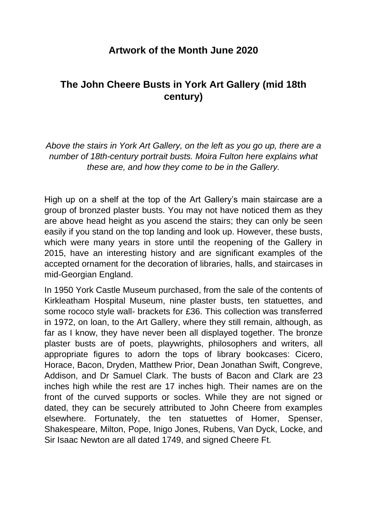## **Artwork of the Month June 2020**

## **The John Cheere Busts in York Art Gallery (mid 18th century)**

*Above the stairs in York Art Gallery, on the left as you go up, there are a number of 18th-century portrait busts. Moira Fulton here explains what these are, and how they come to be in the Gallery.*

High up on a shelf at the top of the Art Gallery's main staircase are a group of bronzed plaster busts. You may not have noticed them as they are above head height as you ascend the stairs; they can only be seen easily if you stand on the top landing and look up. However, these busts, which were many years in store until the reopening of the Gallery in 2015, have an interesting history and are significant examples of the accepted ornament for the decoration of libraries, halls, and staircases in mid-Georgian England.

In 1950 York Castle Museum purchased, from the sale of the contents of Kirkleatham Hospital Museum, nine plaster busts, ten statuettes, and some rococo style wall- brackets for £36. This collection was transferred in 1972, on loan, to the Art Gallery, where they still remain, although, as far as I know, they have never been all displayed together. The bronze plaster busts are of poets, playwrights, philosophers and writers, all appropriate figures to adorn the tops of library bookcases: Cicero, Horace, Bacon, Dryden, Matthew Prior, Dean Jonathan Swift, Congreve, Addison, and Dr Samuel Clark. The busts of Bacon and Clark are 23 inches high while the rest are 17 inches high. Their names are on the front of the curved supports or socles. While they are not signed or dated, they can be securely attributed to John Cheere from examples elsewhere. Fortunately, the ten statuettes of Homer, Spenser, Shakespeare, Milton, Pope, Inigo Jones, Rubens, Van Dyck, Locke, and Sir Isaac Newton are all dated 1749, and signed Cheere Ft.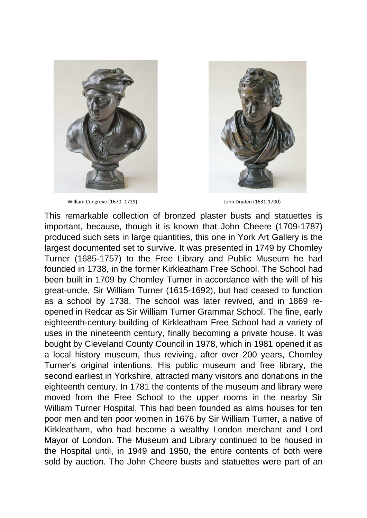

William Congreve (1670- 1729) **State 19 and State 19th Congreve (1670- 1729)** John Dryden (1631-1700)



This remarkable collection of bronzed plaster busts and statuettes is important, because, though it is known that John Cheere (1709-1787) produced such sets in large quantities, this one in York Art Gallery is the largest documented set to survive. It was presented in 1749 by Chomley Turner (1685-1757) to the Free Library and Public Museum he had founded in 1738, in the former Kirkleatham Free School. The School had been built in 1709 by Chomley Turner in accordance with the will of his great-uncle, Sir William Turner (1615-1692), but had ceased to function as a school by 1738. The school was later revived, and in 1869 reopened in Redcar as Sir William Turner Grammar School. The fine, early eighteenth-century building of Kirkleatham Free School had a variety of uses in the nineteenth century, finally becoming a private house. It was bought by Cleveland County Council in 1978, which in 1981 opened it as a local history museum, thus reviving, after over 200 years, Chomley Turner's original intentions. His public museum and free library, the second earliest in Yorkshire, attracted many visitors and donations in the eighteenth century. In 1781 the contents of the museum and library were moved from the Free School to the upper rooms in the nearby Sir William Turner Hospital. This had been founded as alms houses for ten poor men and ten poor women in 1676 by Sir William Turner, a native of Kirkleatham, who had become a wealthy London merchant and Lord Mayor of London. The Museum and Library continued to be housed in the Hospital until, in 1949 and 1950, the entire contents of both were sold by auction. The John Cheere busts and statuettes were part of an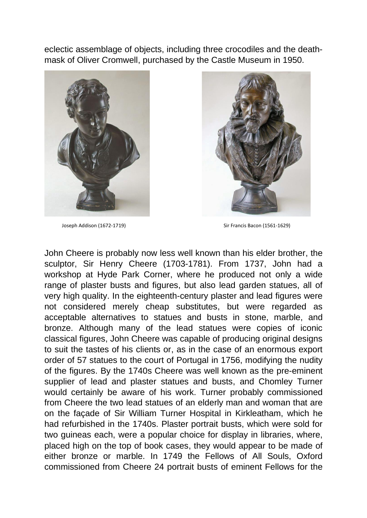eclectic assemblage of objects, including three crocodiles and the deathmask of Oliver Cromwell, purchased by the Castle Museum in 1950.





Joseph Addison (1672-1719) Sir Francis Bacon (1561-1629)

John Cheere is probably now less well known than his elder brother, the sculptor, Sir Henry Cheere (1703-1781). From 1737, John had a workshop at Hyde Park Corner, where he produced not only a wide range of plaster busts and figures, but also lead garden statues, all of very high quality. In the eighteenth-century plaster and lead figures were not considered merely cheap substitutes, but were regarded as acceptable alternatives to statues and busts in stone, marble, and bronze. Although many of the lead statues were copies of iconic classical figures, John Cheere was capable of producing original designs to suit the tastes of his clients or, as in the case of an enormous export order of 57 statues to the court of Portugal in 1756, modifying the nudity of the figures. By the 1740s Cheere was well known as the pre-eminent supplier of lead and plaster statues and busts, and Chomley Turner would certainly be aware of his work. Turner probably commissioned from Cheere the two lead statues of an elderly man and woman that are on the façade of Sir William Turner Hospital in Kirkleatham, which he had refurbished in the 1740s. Plaster portrait busts, which were sold for two guineas each, were a popular choice for display in libraries, where, placed high on the top of book cases, they would appear to be made of either bronze or marble. In 1749 the Fellows of All Souls, Oxford commissioned from Cheere 24 portrait busts of eminent Fellows for the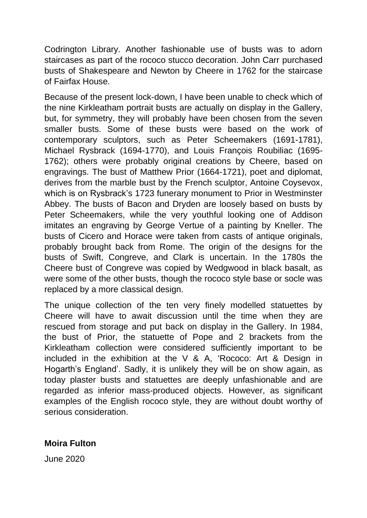Codrington Library. Another fashionable use of busts was to adorn staircases as part of the rococo stucco decoration. John Carr purchased busts of Shakespeare and Newton by Cheere in 1762 for the staircase of Fairfax House.

Because of the present lock-down, I have been unable to check which of the nine Kirkleatham portrait busts are actually on display in the Gallery, but, for symmetry, they will probably have been chosen from the seven smaller busts. Some of these busts were based on the work of contemporary sculptors, such as Peter Scheemakers (1691-1781), Michael Rysbrack (1694-1770), and Louis François Roubiliac (1695- 1762); others were probably original creations by Cheere, based on engravings. The bust of Matthew Prior (1664-1721), poet and diplomat, derives from the marble bust by the French sculptor, Antoine Coysevox, which is on Rysbrack's 1723 funerary monument to Prior in Westminster Abbey. The busts of Bacon and Dryden are loosely based on busts by Peter Scheemakers, while the very youthful looking one of Addison imitates an engraving by George Vertue of a painting by Kneller. The busts of Cicero and Horace were taken from casts of antique originals, probably brought back from Rome. The origin of the designs for the busts of Swift, Congreve, and Clark is uncertain. In the 1780s the Cheere bust of Congreve was copied by Wedgwood in black basalt, as were some of the other busts, though the rococo style base or socle was replaced by a more classical design.

The unique collection of the ten very finely modelled statuettes by Cheere will have to await discussion until the time when they are rescued from storage and put back on display in the Gallery. In 1984, the bust of Prior, the statuette of Pope and 2 brackets from the Kirkleatham collection were considered sufficiently important to be included in the exhibition at the V & A, 'Rococo: Art & Design in Hogarth's England'. Sadly, it is unlikely they will be on show again, as today plaster busts and statuettes are deeply unfashionable and are regarded as inferior mass-produced objects. However, as significant examples of the English rococo style, they are without doubt worthy of serious consideration.

## **Moira Fulton**

June 2020